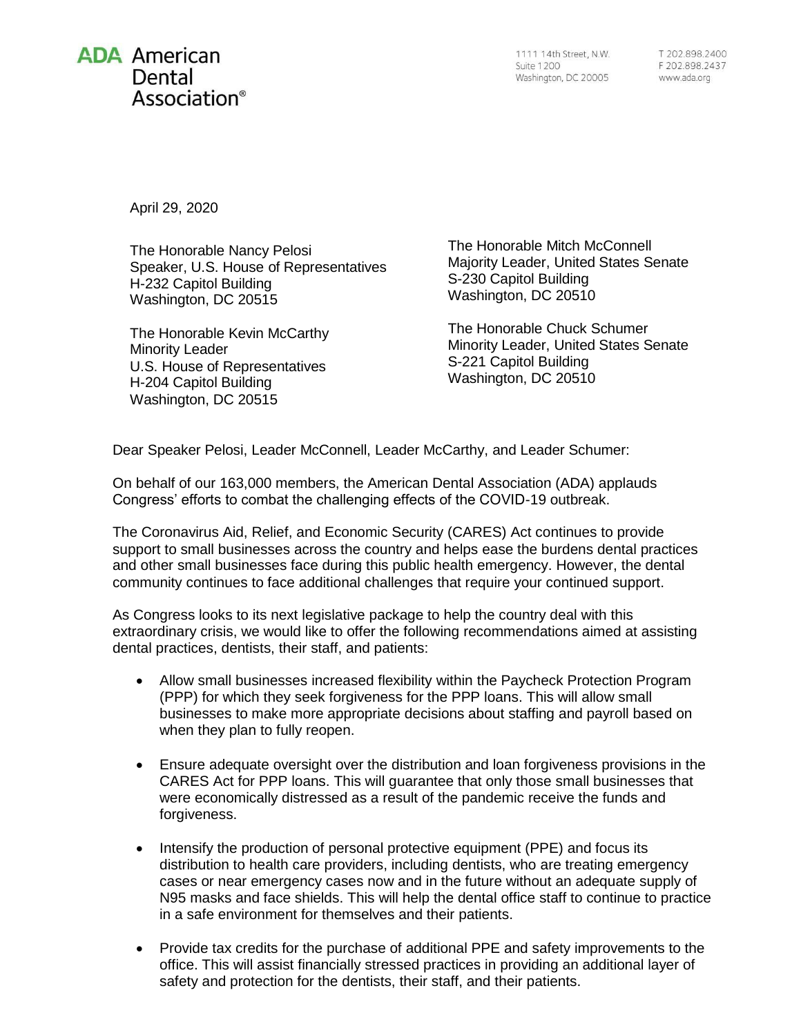## **ADA** American Dental Association®

1111 14th Street, N.W. **Suite 1200** Washington, DC 20005

T 202.898.2400 F 202.898.2437 www.ada.org

April 29, 2020

The Honorable Nancy Pelosi Speaker, U.S. House of Representatives H-232 Capitol Building Washington, DC 20515

The Honorable Kevin McCarthy Minority Leader U.S. House of Representatives H-204 Capitol Building Washington, DC 20515

The Honorable Mitch McConnell Majority Leader, United States Senate S-230 Capitol Building Washington, DC 20510

The Honorable Chuck Schumer Minority Leader, United States Senate S-221 Capitol Building Washington, DC 20510

Dear Speaker Pelosi, Leader McConnell, Leader McCarthy, and Leader Schumer:

On behalf of our 163,000 members, the American Dental Association (ADA) applauds Congress' efforts to combat the challenging effects of the COVID-19 outbreak.

The Coronavirus Aid, Relief, and Economic Security (CARES) Act continues to provide support to small businesses across the country and helps ease the burdens dental practices and other small businesses face during this public health emergency. However, the dental community continues to face additional challenges that require your continued support.

As Congress looks to its next legislative package to help the country deal with this extraordinary crisis, we would like to offer the following recommendations aimed at assisting dental practices, dentists, their staff, and patients:

- Allow small businesses increased flexibility within the Paycheck Protection Program (PPP) for which they seek forgiveness for the PPP loans. This will allow small businesses to make more appropriate decisions about staffing and payroll based on when they plan to fully reopen.
- Ensure adequate oversight over the distribution and loan forgiveness provisions in the CARES Act for PPP loans. This will guarantee that only those small businesses that were economically distressed as a result of the pandemic receive the funds and forgiveness.
- Intensify the production of personal protective equipment (PPE) and focus its distribution to health care providers, including dentists, who are treating emergency cases or near emergency cases now and in the future without an adequate supply of N95 masks and face shields. This will help the dental office staff to continue to practice in a safe environment for themselves and their patients.
- Provide tax credits for the purchase of additional PPE and safety improvements to the office. This will assist financially stressed practices in providing an additional layer of safety and protection for the dentists, their staff, and their patients.